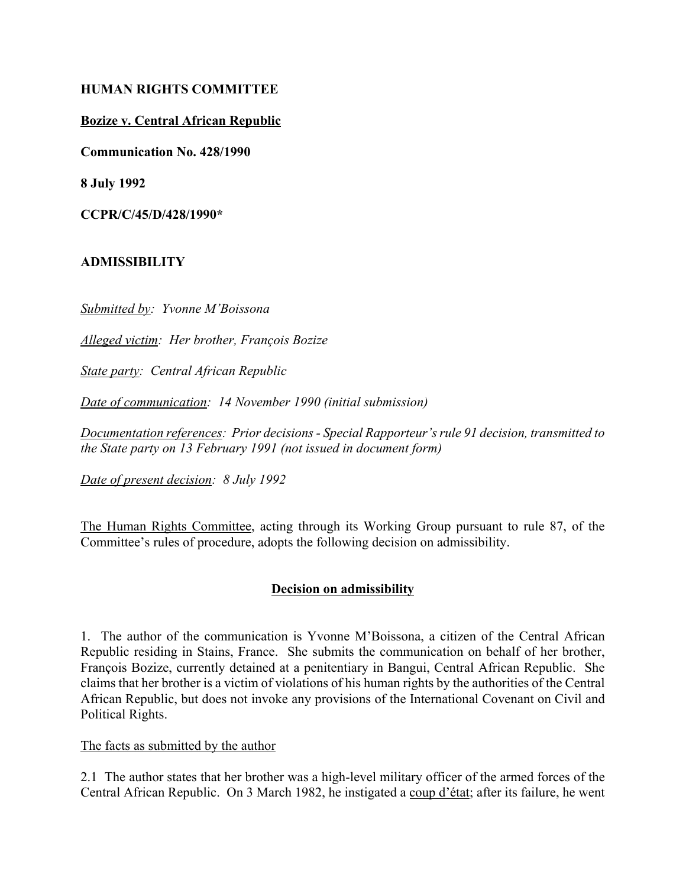# **HUMAN RIGHTS COMMITTEE**

# **Bozize v. Central African Republic**

**Communication No. 428/1990**

**8 July 1992**

**CCPR/C/45/D/428/1990\***

## **ADMISSIBILITY**

*Submitted by: Yvonne MíBoissona*

*Alleged victim: Her brother, François Bozize* 

*State party: Central African Republic*

*Date of communication: 14 November 1990 (initial submission)*

Documentation references: Prior decisions - Special Rapporteur's rule 91 decision, transmitted to *the State party on 13 February 1991 (not issued in document form)*

*Date of present decision: 8 July 1992*

The Human Rights Committee, acting through its Working Group pursuant to rule 87, of the Committee's rules of procedure, adopts the following decision on admissibility.

### **Decision on admissibility**

1. The author of the communication is Yvonne MíBoissona, a citizen of the Central African Republic residing in Stains, France. She submits the communication on behalf of her brother, François Bozize, currently detained at a penitentiary in Bangui, Central African Republic. She claims that her brother is a victim of violations of his human rights by the authorities of the Central African Republic, but does not invoke any provisions of the International Covenant on Civil and Political Rights.

### The facts as submitted by the author

2.1 The author states that her brother was a high-level military officer of the armed forces of the Central African Republic. On 3 March 1982, he instigated a coup d'état; after its failure, he went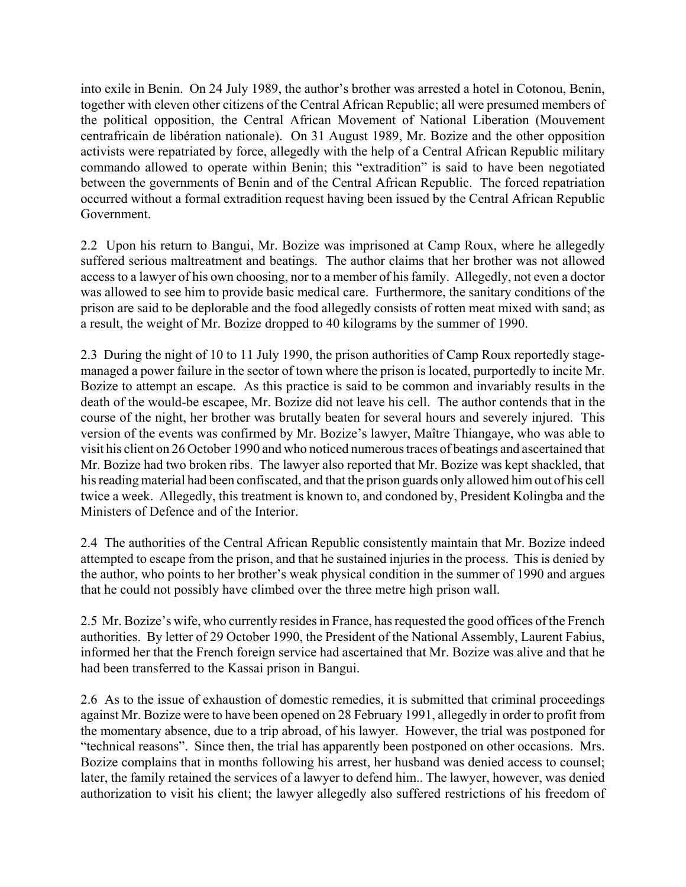into exile in Benin. On 24 July 1989, the author's brother was arrested a hotel in Cotonou, Benin, together with eleven other citizens of the Central African Republic; all were presumed members of the political opposition, the Central African Movement of National Liberation (Mouvement centrafricain de libÈration nationale). On 31 August 1989, Mr. Bozize and the other opposition activists were repatriated by force, allegedly with the help of a Central African Republic military commando allowed to operate within Benin; this "extradition" is said to have been negotiated between the governments of Benin and of the Central African Republic. The forced repatriation occurred without a formal extradition request having been issued by the Central African Republic Government.

2.2 Upon his return to Bangui, Mr. Bozize was imprisoned at Camp Roux, where he allegedly suffered serious maltreatment and beatings. The author claims that her brother was not allowed access to a lawyer of his own choosing, nor to a member of his family. Allegedly, not even a doctor was allowed to see him to provide basic medical care. Furthermore, the sanitary conditions of the prison are said to be deplorable and the food allegedly consists of rotten meat mixed with sand; as a result, the weight of Mr. Bozize dropped to 40 kilograms by the summer of 1990.

2.3 During the night of 10 to 11 July 1990, the prison authorities of Camp Roux reportedly stagemanaged a power failure in the sector of town where the prison is located, purportedly to incite Mr. Bozize to attempt an escape. As this practice is said to be common and invariably results in the death of the would-be escapee, Mr. Bozize did not leave his cell. The author contends that in the course of the night, her brother was brutally beaten for several hours and severely injured. This version of the events was confirmed by Mr. Bozize's lawyer, Maître Thiangaye, who was able to visit his client on 26 October 1990 and who noticed numerous traces of beatings and ascertained that Mr. Bozize had two broken ribs. The lawyer also reported that Mr. Bozize was kept shackled, that his reading material had been confiscated, and that the prison guards only allowed him out of his cell twice a week. Allegedly, this treatment is known to, and condoned by, President Kolingba and the Ministers of Defence and of the Interior.

2.4 The authorities of the Central African Republic consistently maintain that Mr. Bozize indeed attempted to escape from the prison, and that he sustained injuries in the process. This is denied by the author, who points to her brother's weak physical condition in the summer of 1990 and argues that he could not possibly have climbed over the three metre high prison wall.

2.5 Mr. Bozize's wife, who currently resides in France, has requested the good offices of the French authorities. By letter of 29 October 1990, the President of the National Assembly, Laurent Fabius, informed her that the French foreign service had ascertained that Mr. Bozize was alive and that he had been transferred to the Kassai prison in Bangui.

2.6 As to the issue of exhaustion of domestic remedies, it is submitted that criminal proceedings against Mr. Bozize were to have been opened on 28 February 1991, allegedly in order to profit from the momentary absence, due to a trip abroad, of his lawyer. However, the trial was postponed for ìtechnical reasonsî. Since then, the trial has apparently been postponed on other occasions. Mrs. Bozize complains that in months following his arrest, her husband was denied access to counsel; later, the family retained the services of a lawyer to defend him.. The lawyer, however, was denied authorization to visit his client; the lawyer allegedly also suffered restrictions of his freedom of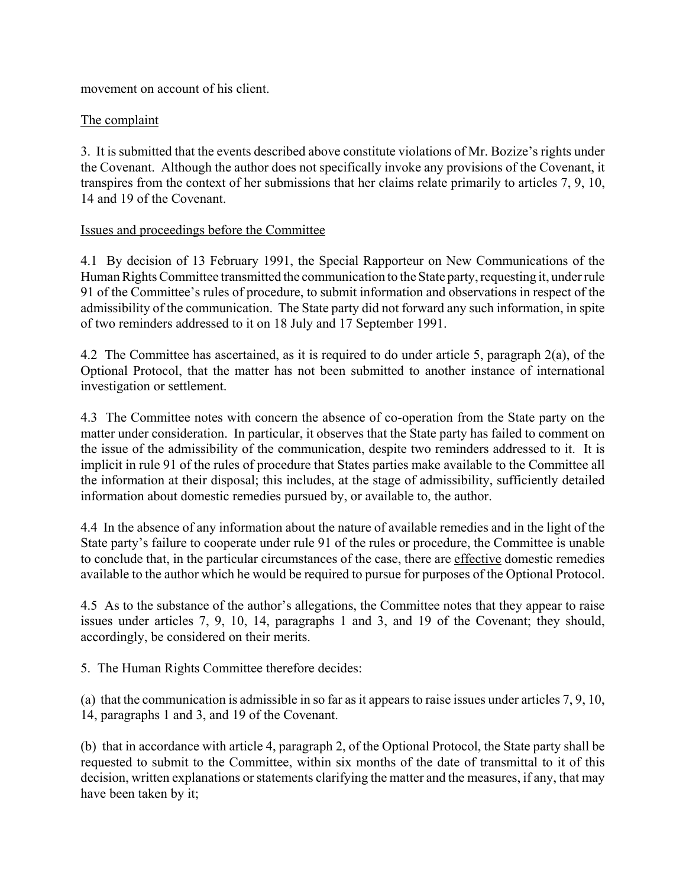movement on account of his client.

# The complaint

3. It is submitted that the events described above constitute violations of Mr. Bozize's rights under the Covenant. Although the author does not specifically invoke any provisions of the Covenant, it transpires from the context of her submissions that her claims relate primarily to articles 7, 9, 10, 14 and 19 of the Covenant.

## Issues and proceedings before the Committee

4.1 By decision of 13 February 1991, the Special Rapporteur on New Communications of the Human Rights Committee transmitted the communication to the State party, requesting it, under rule 91 of the Committee's rules of procedure, to submit information and observations in respect of the admissibility of the communication. The State party did not forward any such information, in spite of two reminders addressed to it on 18 July and 17 September 1991.

4.2 The Committee has ascertained, as it is required to do under article 5, paragraph 2(a), of the Optional Protocol, that the matter has not been submitted to another instance of international investigation or settlement.

4.3 The Committee notes with concern the absence of co-operation from the State party on the matter under consideration. In particular, it observes that the State party has failed to comment on the issue of the admissibility of the communication, despite two reminders addressed to it. It is implicit in rule 91 of the rules of procedure that States parties make available to the Committee all the information at their disposal; this includes, at the stage of admissibility, sufficiently detailed information about domestic remedies pursued by, or available to, the author.

4.4 In the absence of any information about the nature of available remedies and in the light of the State party's failure to cooperate under rule 91 of the rules or procedure, the Committee is unable to conclude that, in the particular circumstances of the case, there are effective domestic remedies available to the author which he would be required to pursue for purposes of the Optional Protocol.

4.5 As to the substance of the author's allegations, the Committee notes that they appear to raise issues under articles 7, 9, 10, 14, paragraphs 1 and 3, and 19 of the Covenant; they should, accordingly, be considered on their merits.

5. The Human Rights Committee therefore decides:

(a) that the communication is admissible in so far as it appears to raise issues under articles 7, 9, 10, 14, paragraphs 1 and 3, and 19 of the Covenant.

(b) that in accordance with article 4, paragraph 2, of the Optional Protocol, the State party shall be requested to submit to the Committee, within six months of the date of transmittal to it of this decision, written explanations or statements clarifying the matter and the measures, if any, that may have been taken by it;